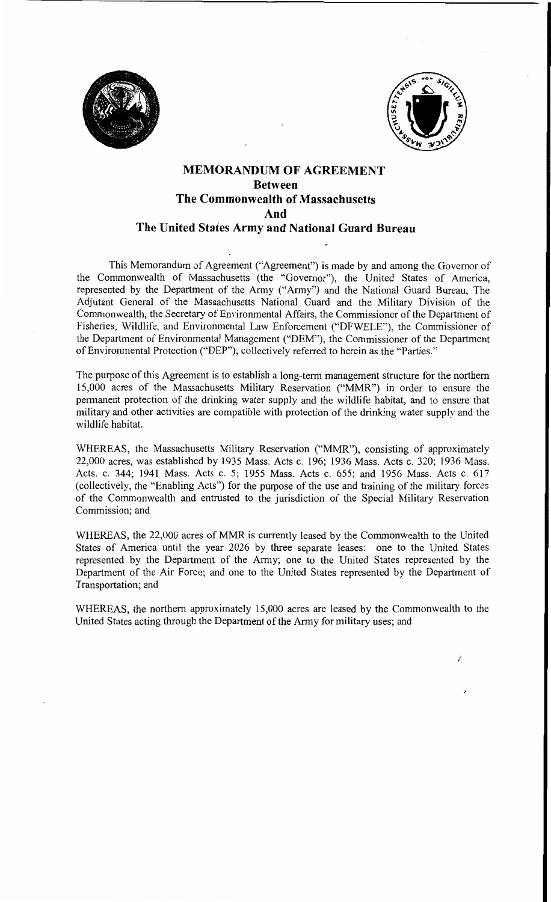



*f* 

# **MEMORANDUM OF AGREEMENT Between The Commonwealth of Massachusetts And The United States Army and National Guard Bureau**

This Memorandum of Agreement ("Agreement") is made by and among the Governor of the Commonwealth of Massachusetts (the "Governor"), the United States of America, represented by the Department of the Army ("Army") and the National Guard Bureau, The Adjutant General of the Massachusetts National Guard and the Military Division of the Commonwealth, the Secretary of Environmental Affairs, the Commissioner of the Department of Fisheries, Wildlife, and Environmental Law Enforcement ("DF WELE"), the Commissioner of the Department of Environmental Management ("DEM"), the Commissioner of the Department of Environmental Protection ("DEP"), collectively referred to herein as the "Parties."

The purpose of this Agreement is to establish a long-term management structure for the northern 15,000 acres of the Massachusetts Military Reservation ("MMR') in order to ensure the permanent protection of the drinking water supply and the wildlife habitat, and to ensure that military and other activities are compatible with protection of the drinking water supply and the wildlife habitat.

WHEREAS, the Massachusetts Military Reservation ("MMR'), consisting of approximately 22,000 acres, was established by 1935 Mass. Acts c. 196; 1936 Mass. Acts c. 320; 1936 Mass. Acts. c. 344; 1941 Mass. Acts c. 5; 1955 Mass. Acts c. 655; and 1956 Mass. Acts c. 617 (collectively, the "Enabling Acts") for the purpose of the use and training of the military forces of the Commonwealth and entrusted to the jurisdiction of the Special Military Reservation Commission; and

WHEREAS, the 22,000 acres of MMR is currently leased by the Commonwealth to the United States of America until the year 2026 by three separate leases: one to the United States represented by the Department of the Army; one to the United States represented by the Department of the Air Force; and one to the United States represented by the Department of Transportation; and

WHEREAS, the northern approximately 15,000 acres are leased by the Commonwealth to the United States acting through the Department of the Army for military uses; and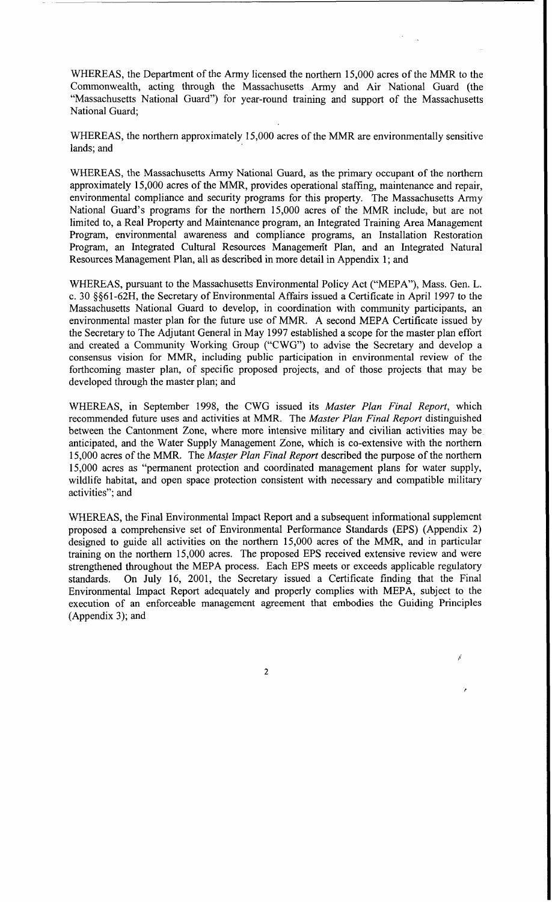WHEREAS, the Department of the Army licensed the northern 15,000 acres of the MMR to the Commonwealth, acting through the Massachusetts Army and Air National Guard (the "Massachusetts National Guard") for year-round training and support of the Massachusetts National Guard;

WHEREAS, the northern approximately 15,000 acres of the MMR are environmentally sensitive lands; and

WHEREAS, the Massachusetts Army National Guard, as the primary occupant of the northern approximately 15,000 acres of the MMR, provides operational staffing, maintenance and repair, environmental compliance and security programs for this property. The Massachusetts Army National Guard's programs for the northern 15,000 acres of the MMR include, but are not limited to, a Real Property and Maintenance program, an Integrated Training Area Management Program, environmental awareness and compliance programs, an Installation Restoration Program, an Integrated Cultural Resources Managemerit Plan, and an Integrated Natural Resources Management Plan, all as described in more detail in Appendix 1; and

WHEREAS, pursuant to the Massachusetts Environmental Policy Act ("MEPA"), Mass. Gen. L. c. 30 @61-62H, the Secretary of Environmental Affairs issued a Certificate in April 1997 to the Massachusetts National Guard to develop, in coordination with community participants, an environmental master plan for the future use of MMR. A second MEPA Certificate issued by the Secretary to The Adjutant General in May 1997 established a scope for the master plan effort and created a Community Working Group ("CWG') to advise the Secretary and develop a consensus vision for MMR, including public participation in environmental review of the forthcoming master plan, of specific proposed projects, and of those projects that may be developed through the master plan; and

WHEREAS, in September 1998, the CWG issued its *Master Plan Final Report,* which recommended future uses and activities at MMR. The *Master Plan Final Report* distinguished between the Cantonment Zone, where more intensive military and civilian activities may be anticipated, and the Water Supply Management Zone, which is co-extensive with the northern 15,000 acres of the MMR. The *Master Plan Final Report* described the purpose of the northern 15,000 acres as "permanent protection and coordinated management plans for water supply, wildlife habitat, and open space protection consistent with necessary and compatible military activities"; and

WHEREAS, the Final Environmental Impact Report and a subsequent informational supplement proposed a comprehensive set of Environmental Performance Standards (EPS) (Appendix 2) designed to guide all activities on the northern 15,000 acres of the MMR, and in particular training on the northern 15,000 acres. The proposed EPS received extensive review and were strengthened throughout the MEPA process. Each EPS meets or exceeds applicable regulatory standards. On July 16, 2001, the Secretary issued a Certificate finding that the Final Environmental Impact Report adequately and properly complies with MEPA, subject to the execution of an enforceable management agreement that embodies the Guiding Principles (Appendix 3); and

*t*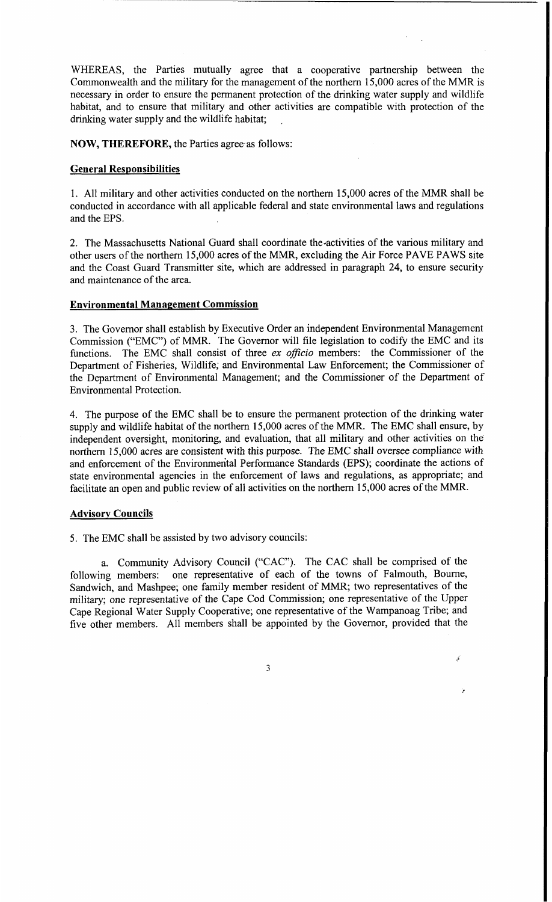WHEREAS, the Parties mutually agree that a cooperative partnership between the Commonwealth and the military for the management of the northern 15,000 acres of the MMR is necessary in order to ensure the permanent protection of the drinking water supply and wildlife habitat, and to ensure that military and other activities are compatible with protection of the drinking water supply and the wildlife habitat;

**NOW, THEREFORE,** the Parties agree'as follows:

#### **General Responsibilities**

1. All military and other activities conducted on the northern 15,000 acres of the MMR shall be conducted in accordance with all applicable federal and state environmental laws and regulations and the EPS.

**2.** The Massachusetts National Guard shall coordinate the-activities of the various military and other users of the northern 15,000 acres of the MMR, excluding the Air Force PAVE PAWS site and the Coast Guard Transmitter site, which are addressed in paragraph 24, to ensure security and maintenance of the area.

### **Environmental Management Commission**

3. The Governor shall establish by Executive Order an independent Environmental Management Commission ("EMC") of MMR. The Governor will file legislation to codify the EMC and its functions. The EMC shall consist of three *ex officio* members: the Commissioner of the Department of Fisheries, Wildlife; and Environmental Law Enforcement; the Commissioner of the Department of Environmental Management; and the Commissioner of the Department of Environmental Protection.

**4.** The purpose of the EMC shall be to ensure the permanent protection of the drinking water supply and wildlife habitat of the northern 15,000 acres of the MMR. The EMC shall ensure, by independent oversight, monitoring, and evaluation, that all military and other activities on the northern 15,000 acres are consistent with this purpose. The EMC shall oversee compliance with and enforcement of the Environmental Performance Standards (EPS); coordinate the actions of state environmental agencies in the enforcement of laws and regulations, as appropriate; and facilitate an open and public review of all activities on the northern 15,000 acres of the MMR.

#### **Advisory Councils**

5. The EMC shall be assisted by two advisory councils:

a. Community Advisory Council ("CAC"). The CAC shall be comprised of the following members: one representative of each of the towns of Falmouth, Bourne, Sandwich, and Mashpee; one family member resident of MMR; two representatives of the military; one representative of the Cape Cod Commission; one representative of the Upper Cape Regional Water Supply Cooperative; one representative of the Wampanoag Tribe; and five other members. All members shall be appointed by the Governor, provided that the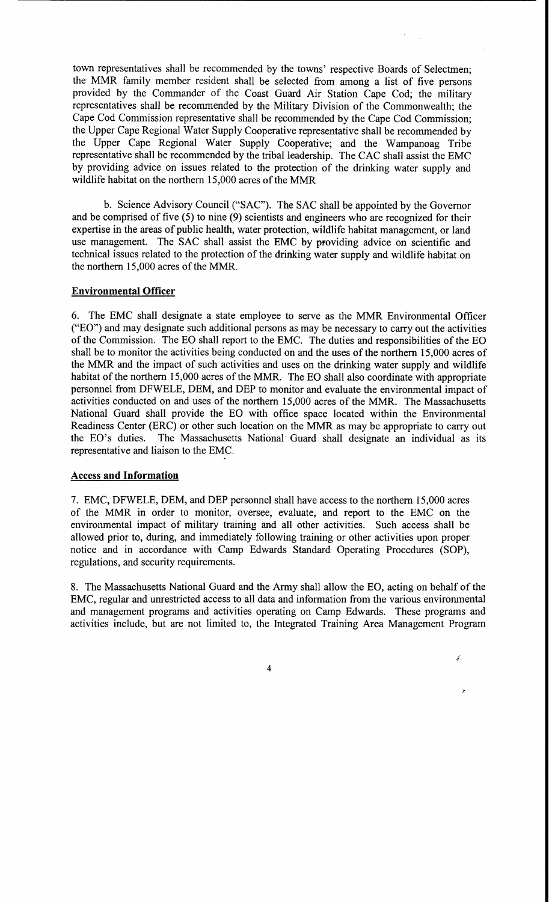town representatives shall be recommended by the towns' respective Boards of Selectmen; the MMR family member resident shall be selected from among a list of five persons provided by the Commander of the Coast Guard Air Station Cape Cod; the military representatives shall be recommended by the Military Division of the Commonwealth; the Cape Cod Commission representative shall be recommended by the Cape Cod Commission; the Upper Cape Regional Water Supply Cooperative representative shall be recommended by the Upper Cape Regional Water Supply Cooperative; and the Wampanoag Tribe representative shall be recommended by the tribal leadership. The CAC shall assist the EMC by providing advice on issues related to the protection of the drinking water supply and wildlife habitat on the northern 15,000 acres of the MMR

b. Science Advisory Council ("SAC"). The SAC shall be appointed by the Governor and be comprised of five *(5)* to nine **(9)** scientists and engineers who are recognized for their expertise in the areas of public health, water protection, wildlife habitat management, or land use management. The SAC shall assist the EMC by providing advice on scientific and technical issues related to the protection of the drinking water supply and wildlife habitat on the northern 15,000 acres of the MMR.

### **Environmental Officer**

6. The EMC shall designate a state employee to serve as the MMR Environmental Officer ("EO") and may designate such additional persons as may be necessary to carry out the activities of the Commission. The EO shall report to the EMC. The duties and responsibilities of the EO shall be to monitor the activities being conducted on and the uses of the northern 15,000 acres of the MMR and the impact of such activities and uses on the drinking water supply and wildlife habitat of the northern 15,000 acres of the MMR. The EO shall also coordinate with appropriate personnel from DFWELE, DEM, and DEP to monitor and evaluate the environmental impact of activities conducted on and uses of the northern 15,000 acres of the MMR. The Massachusetts National Guard shall provide the EO with office space located within the Environmental Readiness Center (ERC) or other such location on the MMR as may be appropriate to carry out the EO'S duties. The Massachusetts National Guard shall designate an individual as its representative and liaison to the EMC.

### **Access and Information**

7. EMC, DFWELE, DEM, and DEP personnel shall have access to the northern 15,000 acres of the MMR in order to monitor, oversee, evaluate, and report to the EMC on the environmental impact of military training and all other activities. Such access shall be allowed prior to, during, and immediately following training or other activities upon proper notice and in accordance with Camp Edwards Standard Operating Procedures (SOP), regulations, and security requirements.

**8.** The Massachusetts National Guard and the Army shall allow the EO, acting on behalf of the EMC, regular and unrestricted access to all data and information from the various environmental and management programs and activities operating on Camp Edwards. These programs and activities include, but are not limited to, the Integrated Training Area Management Program

*f* 

j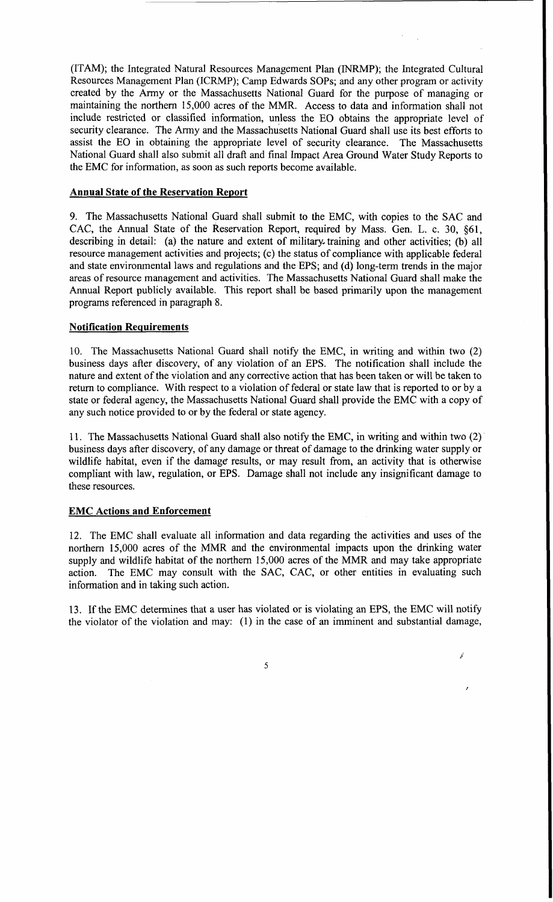(ITAM); the Integrated Natural Resources Management Plan (INRMP); the Integrated Cultural Resources Management Plan (ICRMP); Camp Edwards SOPS; and any other program or activity created by the Army or the Massachusetts National Guard for the purpose of managing or maintaining the northern 15,000 acres of the MMR. Access to data and information shall not include restricted or classified information, unless the EO obtains the appropriate level of security clearance. The Army and the Massachusetts National Guard shall use its best efforts to assist the EO in obtaining the appropriate level of security clearance. The Massachusetts National Guard shall also submit all draft and final Impact Area Ground Water Study Reports to the EMC for information, as soon as such reports become available.

### **Annual State of the Reservation Report**

9. The Massachusetts National Guard shall submit to the EMC, with copies to the SAC and CAC, the Annual State of the Reservation Report, required by Mass. Gen. L. c. 30, \$61, describing in detail: (a) the nature and extent of military training and other activities; (b) all resource management activities and projects; (c) the status of compliance with applicable federal and state environmental laws and regulations and the EPS; and (d) long-term trends in the major areas of resource management and activities. The Massachusetts National Guard shall make the Annual Report publicly available. This report shall be based primarily upon the management programs referenced in paragraph 8.

### **Notification Requirements**

10. The Massachusetts National Guard shall notify the EMC, in writing and within two (2) business days after discovery, of any violation of an EPS. The notification shall include the nature and extent of the violation and any corrective action that has been taken or will be taken to return to compliance. With respect to a violation of federal or state law that is reported to or by a state or federal agency, the Massachusetts National Guard shall provide the EMC with a copy of any such notice provided to or by the federal or state agency.

11. The Massachusetts National Guard shall also notify the EMC, in writing and within two (2) business days after discovery, of any damage or threat of damage to the drinking water supply or wildlife habitat, even if the damage results, or may result from, an activity that is otherwise compliant with law, regulation, or EPS. Damage shall not include any insignificant damage to these resources.

### **EMC Actions and Enforcement**

12. The EMC shall evaluate all information and data regarding the activities and uses of the northern 15,000 acres of the MMR and the environmental impacts upon the drinking water supply and wildlife habitat of the northern 15,000 acres of the MMR and may take appropriate action. The EMC may consult with the SAC, CAC, or other entities in evaluating such information and in taking such action.

13. If the EMC determines that a user has violated or is violating **an** EPS, the EMC will notify the violator of the violation and may: (1) in the case of an imminent and substantial damage,

š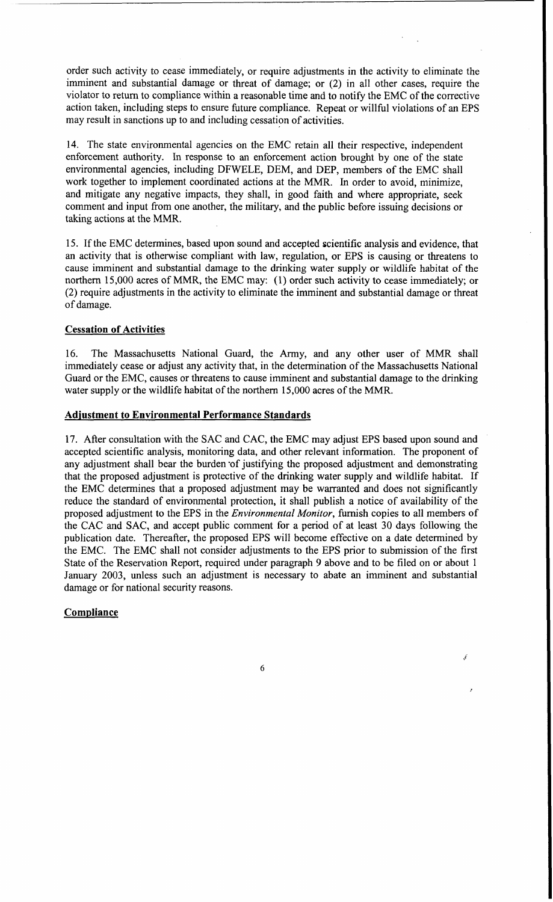order such activity to cease immediately, or require adjustments in the activity to eliminate the imminent and substantial damage or threat of damage; or **(2)** in all other cases, require the violator to return to compliance within a reasonable time and to notify the EMC of the corrective action taken, including steps to ensure future compliance. Repeat or willful violations of an EPS may result in sanctions up to and including cessation of activities.

**14.** The state environmental agencies on the EMC retain all their respective, independent enforcement authority. In response to an enforcement action brought by one of the state environmental agencies, including DFWELE, DEM, and DEP, members of the EMC shall work together to implement coordinated actions at the MMR. In order to avoid, minimize, and mitigate any negative impacts, they shall, in good faith and where appropriate, seek comment and input from one another, the military, and the public before issuing decisions or taking actions at the MMR.

15. If the EMC determines, based upon sound and accepted scientific analysis and evidence, that an activity that is otherwise compliant with law, regulation, or EPS is causing or threatens to cause imminent and substantial damage to the drinking water supply or wildlife habitat of the northern 15,000 acres of MMR, the EMC may: (1) order such activity to cease immediately; or **(2)** require adjustments in the activity to eliminate the imminent and substantial damage or threat of damage.

#### **Cessation of Activities**

16. The Massachusetts National Guard, the Army, and any other user of MMR shall immediately cease or adjust any activity that, in the determination of the Massachusetts National Guard or the EMC, causes or threatens to cause imminent and substantial damage to the drinking water supply or the wildlife habitat of the northern 15,000 acres of the MMR.

#### **Adjustment to Environmental Performance Standards**

17. After consultation with the SAC and CAC, the EMC may adjust EPS based upon sound and accepted scientific analysis, monitoring data, and other relevant information. The proponent of any adjustment shall bear the burden of justifying the proposed adjustment and demonstrating that the proposed adjustment is protective of the drinking water supply and wildlife habitat. If the EMC determines that a proposed adjustment may be warranted and does not significantly reduce the standard of environmental protection, it shall publish a notice of availability of the proposed adjustment to the EPS in the *Environmentd Monitor,* furnish copies to all members of the CAC and SAC, and accept public comment for a period of at least 30 days following the publication date. Thereafter, the proposed EPS will become effective on a date determined by the EMC. The EMC shall not consider adjustments to the EPS prior to submission of the first State of the Reservation Report, required under paragraph 9 above and to be filed on or about 1 January 2003, unless such an adjustment is necessary to abate an imminent and substantial damage or for national security reasons.

### **Compliance**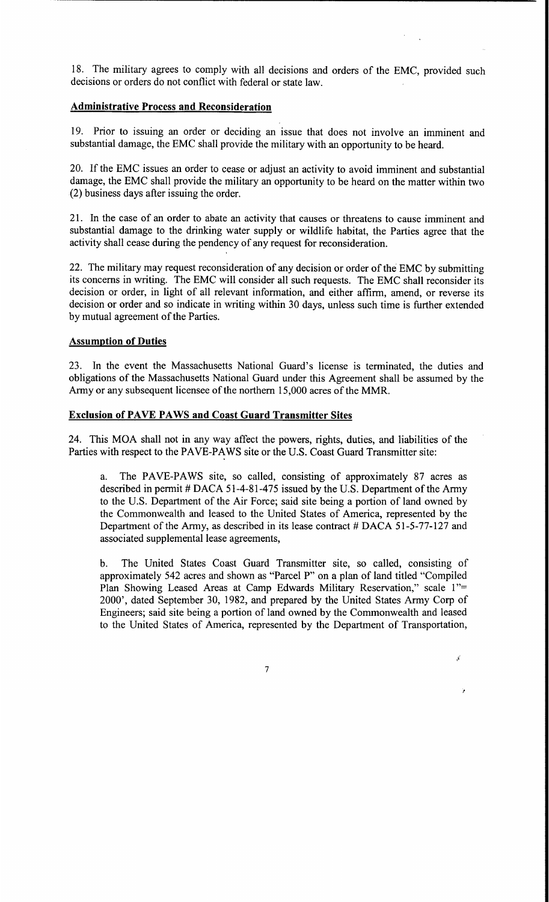18. The military agrees to comply with all decisions and orders of the EMC, provided such decisions or orders do not conflict with federal or state law.

### **Administrative Process and Reconsideration**

19. Prior to issuing an order or deciding an issue that does not involve an imminent and substantial damage, the EMC shall provide the military with an opportunity to be heard.

20. If the EMC issues an order to cease or adjust an activity to avoid imminent and substantial damage, the EMC shall provide the military an opportunity to be heard on the matter within two 12) business days after issuing the order.

21. In the case of an order to abate an activity that causes or threatens to cause imminent and substantial damage to the drinking water supply or wildlife habitat, the Parties agree that the activity shall cease during the pendency of any request for reconsideration.

**22.** The military may request reconsideration of any decision or order of the EMC by submitting its concerns in writing. The EMC will consider all such requests. The EMC shall reconsider its decision or order, in light of all relevant information, and either affirm, amend, or reverse its decision or order and so indicate in writing within 30 days, unless such time is further extended by mutual agreement of the Parties.

### **Assumption of Duties**

23. In the event the Massachusetts National Guard's license is terminated, the duties and obligations of the Massachusetts National Guard under this Agreement shall be assumed by the Army or any subsequent licensee of the northern 15,000 acres of the MMR.

### **Exclusion of PAVE PAWS and Coast Guard Transmitter Sites**

24. This MOA shall not in any way affect the powers, rights, duties, and liabilities of the Parties with respect to the PAVE-PAWS site or the U.S. Coast Guard Transmitter site:

a. The PAVE-PAWS site, so called, consisting of approximately 87 acres as described in permit # DACA *5* 1-4-8 1-475 issued by the U.S. Department of the Army to the U.S. Department of the Air Force; said site being a portion of land owned by the Commonwealth and leased to the United States of America, represented by the Department of the Army, as described in its lease contract # DACA 51-5-77-127 and associated supplemental lease agreements,

b. The United States Coast Guard Transmitter site, so called, consisting of approximately 542 acres and shown as "Parcel P" on a plan of land titled "Compiled Plan Showing Leased Areas at Camp Edwards Military Reservation," scale 1"= 2000', dated September 30, 1982, and prepared by the United States Army *Corp* of Engineers; said site being a portion of land owned by the Commonwealth and leased to the United States of America, represented by the Department of Transportation,

 $\mathcal{L}$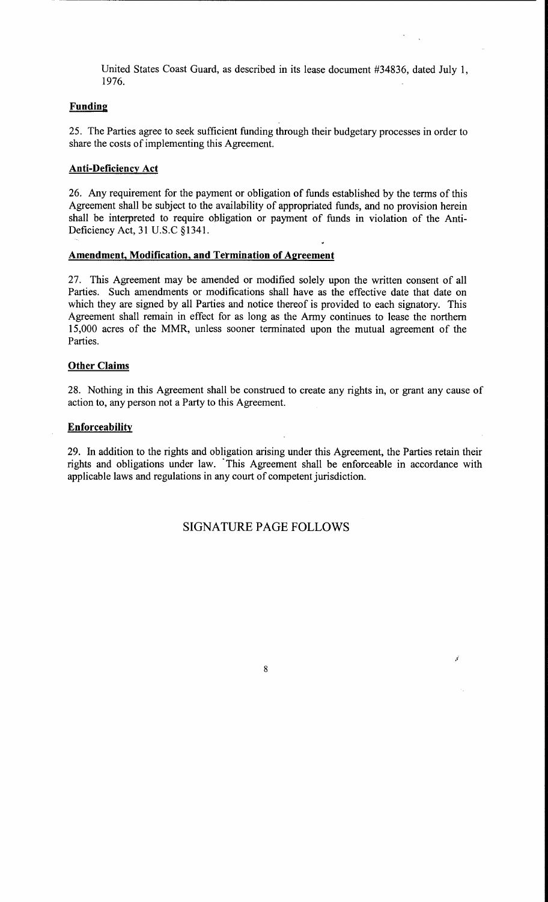United States Coast Guard, as described in its lease document #34836, dated July 1, 1976.

### **Funding**

25. The Parties agree to seek sufficient funding through their budgetary processes in order to share the costs of implementing this Agreement.

### **Anti-Deficiency Act**

26. Any requirement for the payment or obligation of funds established by the terms of this Agreement shall be subject to the availability of appropriated finds, and no provision herein shall be interpreted to require obligation or payment of finds in violation of the Anti-Deficiency Act, 31 U.S.C §1341.

#### **Amendment, Modification, and Termination of Agreement**

27. This Agreement may be amended or modified solely upon the written consent of all Parties. Such amendments or modifications shall have as the effective date that date on which they are signed by all Parties and notice thereof is provided to each signatory. This Agreement shall remain in effect for as long **as** the Army continues to lease the northern 15,000 acres of the MMR, unless sooner terminated upon the mutual agreement of the Parties.

#### **Other Claims**

28. Nothing in this Agreement shall be construed to create any rights in, or grant any cause of action to, any person not a Party to this Agreement.

### **Enforceability**

29. In addition to the rights and obligation arising under this Agreement, the Parties retain their rights and obligations under law. This Agreement shall be enforceable in accordance with applicable laws and regulations in any court of competent jurisdiction.

## SIGNATURE **PAGE** FOLLOWS

š